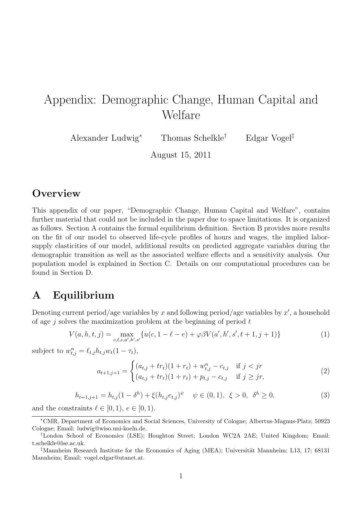# Appendix: Demographic Change, Human Capital and Welfare

Alexander Ludwig<sup>∗</sup> Thomas Schelkle† Edgar Vogel‡

August 15, 2011

## **Overview**

This appendix of our paper, "Demographic Change, Human Capital and Welfare", contains further material that could not be included in the paper due to space limitations. It is organized as follows. Section A contains the formal equilibrium definition. Section B provides more results on the fit of our model to observed life-cycle profiles of hours and wages, the implied laborsupply elasticities of our model, additional results on predicted aggregate variables during the demographic transition as well as the associated welfare effects and a sensitivity analysis. Our population model is explained in Section C. Details on our computational procedures can be found in Section D.

## A Equilibrium

Denoting current period/age variables by x and following period/age variables by  $x'$ , a household of age  $j$  solves the maximization problem at the beginning of period  $t$ 

$$
V(a, h, t, j) = \max_{c, \ell, e, a', h', s'} \{ u(c, 1 - \ell - e) + \varphi \beta V(a', h', s', t + 1, j + 1) \}
$$
(1)

subject to  $w_{t,j}^n = \ell_{t,j} h_{t,j} w_t (1 - \tau_t),$  $\overline{\phantom{a}}$ 

$$
a_{t+1,j+1} = \begin{cases} (a_{t,j} + tr_t)(1+r_t) + w_{t,j}^n - c_{t,j} & \text{if } j < jr \\ (a_{t,j} + tr_t)(1+r_t) + p_{t,j} - c_{t,j} & \text{if } j \ge jr, \end{cases}
$$
 (2)

$$
h_{t+1,j+1} = h_{t,j}(1 - \delta^h) + \xi (h_{t,j} e_{t,j})^{\psi} \quad \psi \in (0,1), \ \xi > 0, \ \delta^h \ge 0,
$$
 (3)

and the constraints  $\ell \in [0, 1), e \in [0, 1)$ .

<sup>∗</sup>CMR, Department of Economics and Social Sciences, University of Cologne; Albertus-Magnus-Platz; 50923 Cologne; Email: ludwig@wiso.uni-koeln.de.

<sup>†</sup>London School of Economics (LSE); Houghton Street; London WC2A 2AE; United Kingdom; Email: t.schelkle@lse.ac.uk.

<sup>&</sup>lt;sup>‡</sup>Mannheim Research Institute for the Economics of Aging (MEA); Universität Mannheim; L13, 17; 68131 Mannheim; Email: vogel.edgar@utanet.at.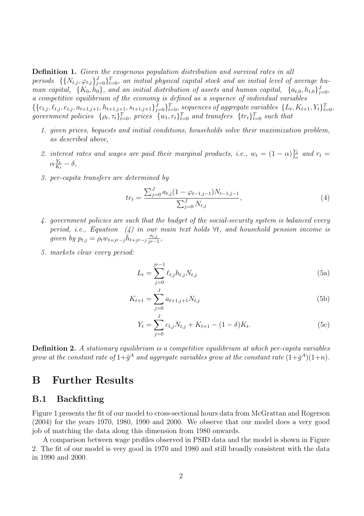Definition 1. Given the exogenous population distribution and survival rates in all periods  $\{ \{N_{t,j}, \varphi_{t,j}\}_{j=0}^J \}_{t=0}^T$ , an initial physical capital stock and an initial level of average human capital,  $\{K_0, \overline{h_0}\}$ , and an initial distribution of assets and human capital,  $\{a_{t,0}, h_{t,0}\}_{j=0}^J$ , a competitive equilibrium of the economy is defined as a sequence of individual variables  $\{\{c_{t,j}, \ell_{t,j}, e_{t,j}, a_{t+1,j+1}, h_{t+1,j+1}, s_{t+1,j+1}\}_{j=0}^J\}_{t=0}^T$ , sequences of aggregate variables  $\{L_t, K_{t+1}, Y_t\}_{t=0}^T$ , government policies  $\{\rho_t, \tau_t\}_{t=0}^T$ , prices  $\{w_t, r_t\}_{t=0}^T$  and transfers  $\{tr_t\}_{t=0}^T$  such that

- 1. given prices, bequests and initial conditions, households solve their maximization problem, as described above,
- 2. interest rates and wages are paid their marginal products, i.e.,  $w_t = (1 \alpha) \frac{Y_t}{U_t}$  $\frac{Y_t}{L_t}$  and  $r_t =$  $\alpha \frac{Y_t}{K}$  $\frac{Y_t}{K_t} - \delta,$
- 3. per-capita transfers are determined by

$$
tr_{t} = \frac{\sum_{j=0}^{J} a_{t,j} (1 - \varphi_{t-1,j-1}) N_{t-1,j-1}}{\sum_{j=0}^{J} N_{t,j}},
$$
\n(4)

- 4. government policies are such that the budget of the social-security system is balanced every period, i.e., Equation  $(4)$  in our main text holds  $\forall t$ , and household pension income is qiven by  $p_{t,j} = \rho_t w_{t+jr-j} \overline{h}_{t+jr-j} \frac{s_{t,j}}{ir-j}$  $\frac{s_{t,j}}{jr-1},$
- 5. markets clear every period:

$$
L_t = \sum_{j=0}^{jr-1} \ell_{t,j} h_{t,j} N_{t,j}
$$
 (5a)

$$
K_{t+1} = \sum_{j=0}^{J} a_{t+1,j+1} N_{t,j}
$$
 (5b)

$$
Y_t = \sum_{j=0}^{J} c_{t,j} N_{t,j} + K_{t+1} - (1 - \delta) K_t.
$$
 (5c)

Definition 2. A stationary equilibrium is a competitive equilibrium at which per-capita variables grow at the constant rate of  $1+\bar{g}^A$  and aggregate variables grow at the constant rate  $(1+\bar{g}^A)(1+n)$ .

## B Further Results

### B.1 Backfitting

Figure 1 presents the fit of our model to cross-sectional hours data from McGrattan and Rogerson (2004) for the years 1970, 1980, 1990 and 2000. We observe that our model does a very good job of matching the data along this dimension from 1980 onwards.

A comparison between wage profiles observed in PSID data and the model is shown in Figure 2. The fit of our model is very good in 1970 and 1980 and still broadly consistent with the data in 1990 and 2000.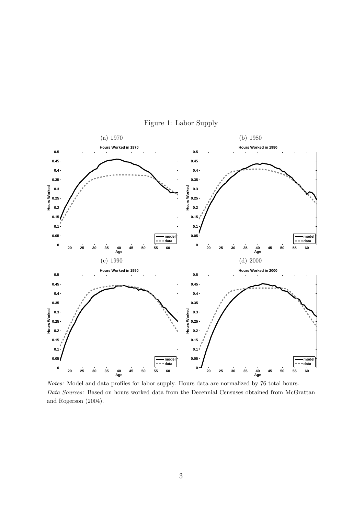

Figure 1: Labor Supply

Notes: Model and data profiles for labor supply. Hours data are normalized by 76 total hours. Data Sources: Based on hours worked data from the Decennial Censuses obtained from McGrattan and Rogerson (2004).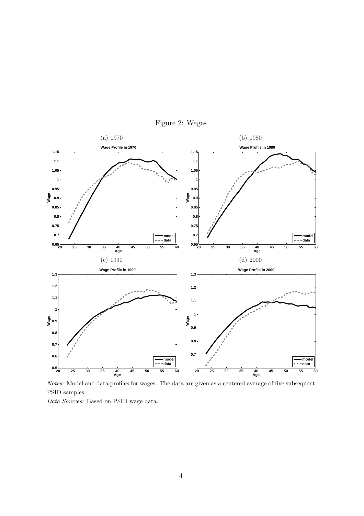



Notes: Model and data profiles for wages. The data are given as a centered average of five subsequent PSID samples.

Data Sources: Based on PSID wage data.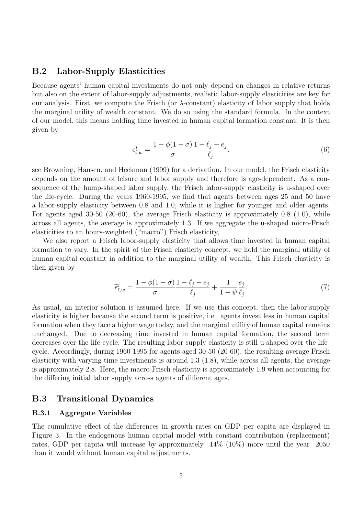### B.2 Labor-Supply Elasticities

Because agents' human capital investments do not only depend on changes in relative returns but also on the extent of labor-supply adjustments, realistic labor-supply elasticities are key for our analysis. First, we compute the Frisch (or  $\lambda$ -constant) elasticity of labor supply that holds the marginal utility of wealth constant. We do so using the standard formula. In the context of our model, this means holding time invested in human capital formation constant. It is then given by

$$
\epsilon_{\ell,w}^j = \frac{1 - \phi(1 - \sigma)}{\sigma} \frac{1 - \ell_j - e_j}{\ell_j},\tag{6}
$$

see Browning, Hansen, and Heckman (1999) for a derivation. In our model, the Frisch elasticity depends on the amount of leisure and labor supply and therefore is age-dependent. As a consequence of the hump-shaped labor supply, the Frisch labor-supply elasticity is u-shaped over the life-cycle. During the years 1960-1995, we find that agents between ages 25 and 50 have a labor-supply elasticity between 0.8 and 1.0, while it is higher for younger and older agents. For agents aged 30-50 (20-60), the average Frisch elasticity is approximately 0.8 (1.0), while across all agents, the average is approximately 1.3. If we aggregate the u-shaped micro-Frisch elasticities to an hours-weighted ("macro") Frisch elasticity,

We also report a Frisch labor-supply elasticity that allows time invested in human capital formation to vary. In the spirit of the Frisch elasticity concept, we hold the marginal utility of human capital constant in addition to the marginal utility of wealth. This Frisch elasticity is then given by

$$
\widetilde{\epsilon}_{\ell,w}^j = \frac{1 - \phi(1 - \sigma)}{\sigma} \frac{1 - \ell_j - e_j}{\ell_j} + \frac{1}{1 - \psi} \frac{e_j}{\ell_j}.\tag{7}
$$

As usual, an interior solution is assumed here. If we use this concept, then the labor-supply elasticity is higher because the second term is positive, i.e., agents invest less in human capital formation when they face a higher wage today, and the marginal utility of human capital remains unchanged. Due to decreasing time invested in human capital formation, the second term decreases over the life-cycle. The resulting labor-supply elasticity is still u-shaped over the lifecycle. Accordingly, during 1960-1995 for agents aged 30-50 (20-60), the resulting average Frisch elasticity with varying time investments is around 1.3 (1.8), while across all agents, the average is approximately 2.8. Here, the macro-Frisch elasticity is approximately 1.9 when accounting for the differing initial labor supply across agents of different ages.

### B.3 Transitional Dynamics

### B.3.1 Aggregate Variables

The cumulative effect of the differences in growth rates on GDP per capita are displayed in Figure 3. In the endogenous human capital model with constant contribution (replacement) rates, GDP per capita will increase by approximately 14% (10%) more until the year 2050 than it would without human capital adjustments.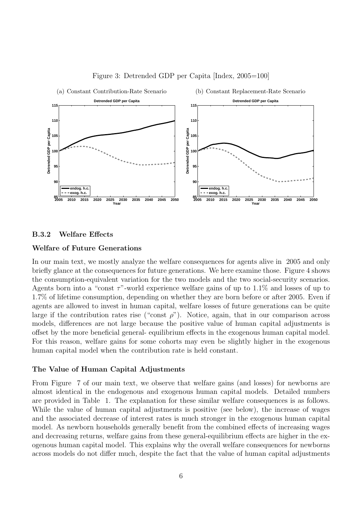

Figure 3: Detrended GDP per Capita [Index, 2005=100]

#### B.3.2 Welfare Effects

### Welfare of Future Generations

In our main text, we mostly analyze the welfare consequences for agents alive in 2005 and only briefly glance at the consequences for future generations. We here examine those. Figure 4 shows the consumption-equivalent variation for the two models and the two social-security scenarios. Agents born into a "const  $\tau$ "-world experience welfare gains of up to 1.1% and losses of up to 1.7% of lifetime consumption, depending on whether they are born before or after 2005. Even if agents are allowed to invest in human capital, welfare losses of future generations can be quite large if the contribution rates rise ("const  $\rho$ "). Notice, again, that in our comparison across models, differences are not large because the positive value of human capital adjustments is offset by the more beneficial general- equilibrium effects in the exogenous human capital model. For this reason, welfare gains for some cohorts may even be slightly higher in the exogenous human capital model when the contribution rate is held constant.

#### The Value of Human Capital Adjustments

From Figure 7 of our main text, we observe that welfare gains (and losses) for newborns are almost identical in the endogenous and exogenous human capital models. Detailed numbers are provided in Table 1. The explanation for these similar welfare consequences is as follows. While the value of human capital adjustments is positive (see below), the increase of wages and the associated decrease of interest rates is much stronger in the exogenous human capital model. As newborn households generally benefit from the combined effects of increasing wages and decreasing returns, welfare gains from these general-equilibrium effects are higher in the exogenous human capital model. This explains why the overall welfare consequences for newborns across models do not differ much, despite the fact that the value of human capital adjustments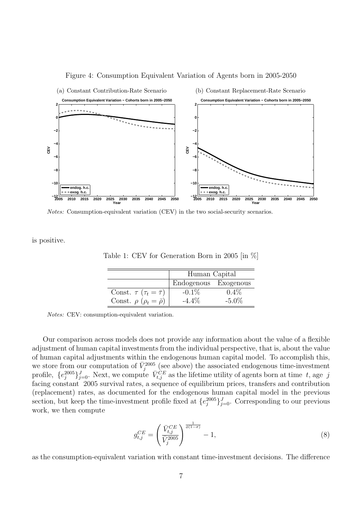

#### Figure 4: Consumption Equivalent Variation of Agents born in 2005-2050

Notes: Consumption-equivalent variation (CEV) in the two social-security scenarios.

is positive.

Table 1: CEV for Generation Born in 2005 [in %]

|                                              | Human Capital        |          |  |  |  |  |
|----------------------------------------------|----------------------|----------|--|--|--|--|
|                                              | Endogenous Exogenous |          |  |  |  |  |
| Const. $\tau$ ( $\tau_t = \overline{\tau}$ ) | $-0.1\%$             | $0.4\%$  |  |  |  |  |
| Const. $\rho$ ( $\rho_t = \bar{\rho}$ )      | $-4.4\%$             | $-5.0\%$ |  |  |  |  |

Notes: CEV: consumption-equivalent variation.

Our comparison across models does not provide any information about the value of a flexible adjustment of human capital investments from the individual perspective, that is, about the value of human capital adjustments within the endogenous human capital model. To accomplish this, we store from our computation of  $\bar{V}_j^{2005}$  (see above) the associated endogenous time-investment profile,  $\{e_j^{2005}\}_{j=0}^J$ . Next, we compute  $\bar{V}_{t,j}^{CE}$  as the lifetime utility of agents born at time t, age j facing constant 2005 survival rates, a sequence of equilibrium prices, transfers and contribution (replacement) rates, as documented for the endogenous human capital model in the previous section, but keep the time-investment profile fixed at  $\{e_j^{2005}\}_{j=0}^J$ . Corresponding to our previous work, we then compute

$$
g_{t,j}^{CE} = \left(\frac{\bar{V}_{t,j}^{CE}}{\bar{V}_j^{2005}}\right)^{\frac{1}{\phi(1-\sigma)}} - 1, \tag{8}
$$

as the consumption-equivalent variation with constant time-investment decisions. The difference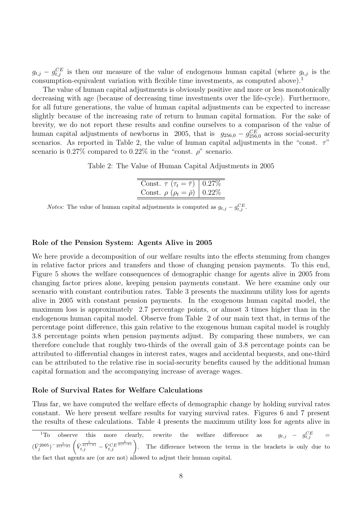$g_{t,j} - g_{t,j}^{CE}$  is then our measure of the value of endogenous human capital (where  $g_{t,j}$  is the consumption-equivalent variation with flexible time investments, as computed above).<sup>1</sup>

The value of human capital adjustments is obviously positive and more or less monotonically decreasing with age (because of decreasing time investments over the life-cycle). Furthermore, for all future generations, the value of human capital adjustments can be expected to increase slightly because of the increasing rate of return to human capital formation. For the sake of brevity, we do not report these results and confine ourselves to a comparison of the value of human capital adjustments of newborns in 2005, that is  $g_{256,0} - g_{256,0}^{CE}$  across social-security scenarios. As reported in Table 2, the value of human capital adjustments in the "const.  $\tau$ " scenario is 0.27% compared to 0.22% in the "const.  $\rho$ " scenario.

Table 2: The Value of Human Capital Adjustments in 2005

| Const. $\tau (\tau_t = \bar{\tau})   0.27\%$ |  |
|----------------------------------------------|--|
| Const. $\rho (\rho_t = \bar{\rho})   0.22\%$ |  |
|                                              |  |

*Notes:* The value of human capital adjustments is computed as  $g_{t,j} - g_{t,j}^{CE}$ .

#### Role of the Pension System: Agents Alive in 2005

We here provide a decomposition of our welfare results into the effects stemming from changes in relative factor prices and transfers and those of changing pension payments. To this end, Figure 5 shows the welfare consequences of demographic change for agents alive in 2005 from changing factor prices alone, keeping pension payments constant. We here examine only our scenario with constant contribution rates. Table 3 presents the maximum utility loss for agents alive in 2005 with constant pension payments. In the exogenous human capital model, the maximum loss is approximately 2.7 percentage points, or almost 3 times higher than in the endogenous human capital model. Observe from Table 2 of our main text that, in terms of the percentage point difference, this gain relative to the exogenous human capital model is roughly 3.8 percentage points when pension payments adjust. By comparing these numbers, we can therefore conclude that roughly two-thirds of the overall gain of 3.8 percentage points can be attributed to differential changes in interest rates, wages and accidental bequests, and one-third can be attributed to the relative rise in social-security benefits caused by the additional human capital formation and the accompanying increase of average wages.

#### Role of Survival Rates for Welfare Calculations

Thus far, we have computed the welfare effects of demographic change by holding survival rates constant. We here present welfare results for varying survival rates. Figures 6 and 7 present the results of these calculations. Table 4 presents the maximum utility loss for agents alive in

<sup>1</sup>To observe this more clearly, rewrite the welfare difference as  $g_{t,j} - g_{t,j}^{CE} =$  $(\bar{V}_{j}^{2005})^{-\frac{1}{\phi(1-\sigma)}}$  $\frac{v}{z}$  $\bar V^{\frac{1}{\phi(1-\sigma)}}_{t,j}-\bar V^{CE}_{t,j}^{\frac{1}{\phi(1-\sigma)}}$  $\left(\frac{t}{t,j}\right)$  are the senate difference as  $g_{t,j} = g_{t,j}$  =  $g_{t,j}$  =  $g_{t,j}$  =  $g_{t,j}$  =  $g_{t,j}$  =  $g_{t,j}$  =  $g_{t,j}$  =  $g_{t,j}$  =  $g_{t,j}$  =  $g_{t,j}$  =  $g_{t,j}$  =  $g_{t,j}$  =  $g_{t,j}$  =  $g_{t,j}$  =  $g_{t,j}$  =  $g_{t,j}$  =  $g_{t,j}$  = the fact that agents are (or are not) allowed to adjust their human capital.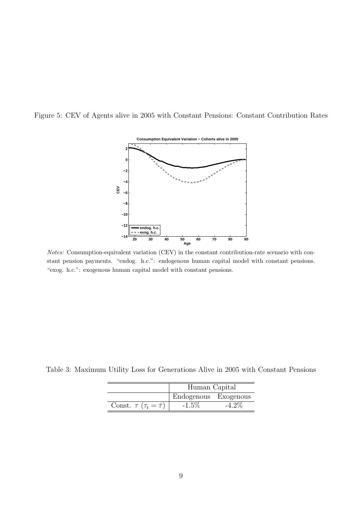Figure 5: CEV of Agents alive in 2005 with Constant Pensions: Constant Contribution Rates



Notes: Consumption-equivalent variation (CEV) in the constant contribution-rate scenario with constant pension payments. "endog. h.c.": endogenous human capital model with constant pensions. "exog. h.c.": exogenous human capital model with constant pensions.

Table 3: Maximum Utility Loss for Generations Alive in 2005 with Constant Pensions

|                                              | Human Capital        |       |  |  |  |  |
|----------------------------------------------|----------------------|-------|--|--|--|--|
|                                              | Endogenous Exogenous |       |  |  |  |  |
| Const. $\tau$ ( $\tau_t = \overline{\tau}$ ) | $-1.5\%$             | -4.2% |  |  |  |  |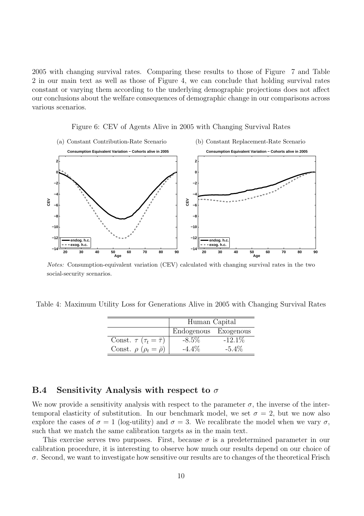2005 with changing survival rates. Comparing these results to those of Figure 7 and Table 2 in our main text as well as those of Figure 4, we can conclude that holding survival rates constant or varying them according to the underlying demographic projections does not affect our conclusions about the welfare consequences of demographic change in our comparisons across various scenarios.





Notes: Consumption-equivalent variation (CEV) calculated with changing survival rates in the two social-security scenarios.

Table 4: Maximum Utility Loss for Generations Alive in 2005 with Changing Survival Rates

|                                              | Human Capital        |           |  |  |  |  |
|----------------------------------------------|----------------------|-----------|--|--|--|--|
|                                              | Endogenous Exogenous |           |  |  |  |  |
| Const. $\tau$ ( $\tau_t = \overline{\tau}$ ) | $-8.5\%$             | $-12.1\%$ |  |  |  |  |
| Const. $\rho$ ( $\rho_t = \bar{\rho}$ )      | $-4.4\%$             | $-5.4\%$  |  |  |  |  |

## B.4 Sensitivity Analysis with respect to  $\sigma$

We now provide a sensitivity analysis with respect to the parameter  $\sigma$ , the inverse of the intertemporal elasticity of substitution. In our benchmark model, we set  $\sigma = 2$ , but we now also explore the cases of  $\sigma = 1$  (log-utility) and  $\sigma = 3$ . We recalibrate the model when we vary  $\sigma$ , such that we match the same calibration targets as in the main text.

This exercise serves two purposes. First, because  $\sigma$  is a predetermined parameter in our calibration procedure, it is interesting to observe how much our results depend on our choice of  $\sigma$ . Second, we want to investigate how sensitive our results are to changes of the theoretical Frisch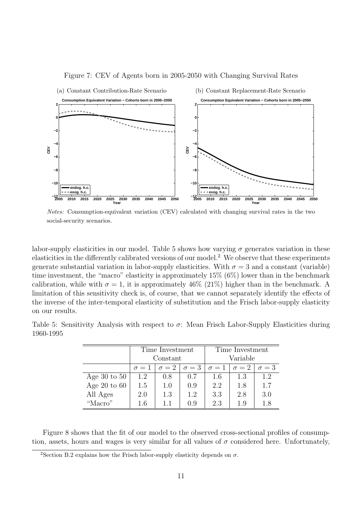

#### Figure 7: CEV of Agents born in 2005-2050 with Changing Survival Rates

Notes: Consumption-equivalent variation (CEV) calculated with changing survival rates in the two social-security scenarios.

labor-supply elasticities in our model. Table 5 shows how varying  $\sigma$  generates variation in these elasticities in the differently calibrated versions of our model.<sup>2</sup> We observe that these experiments generate substantial variation in labor-supply elasticities. With  $\sigma = 3$  and a constant (variable) time investment, the "macro" elasticity is approximately 15% (6%) lower than in the benchmark calibration, while with  $\sigma = 1$ , it is approximately 46% (21%) higher than in the benchmark. A limitation of this sensitivity check is, of course, that we cannot separately identify the effects of the inverse of the inter-temporal elasticity of substitution and the Frisch labor-supply elasticity on our results.

|           |  |  |  |  | Table 5: Sensitivity Analysis with respect to $\sigma$ : Mean Frisch Labor-Supply Elasticities during |  |
|-----------|--|--|--|--|-------------------------------------------------------------------------------------------------------|--|
| 1960-1995 |  |  |  |  |                                                                                                       |  |

|                |            | Time Investment |              | Time Investment |              |              |  |
|----------------|------------|-----------------|--------------|-----------------|--------------|--------------|--|
|                |            | Constant        |              | Variable        |              |              |  |
|                | $\sigma=1$ | $\sigma=2$      | $\sigma = 3$ | $\sigma=1$      | $\sigma = 2$ | $\sigma = 3$ |  |
| Age 30 to $50$ | 1.2        | 0.8             | 0.7          | 1.6             | 1.3          | 1.2          |  |
| Age 20 to $60$ | 1.5        | 1.0             | 0.9          | 2.2             | 1.8          | 1.7          |  |
| All Ages       | 2.0        | 1.3             | 1.2          | 3.3             | 2.8          | 3.0          |  |
| "Macro"        | 1.6        | 11              | 09           | 2.3             | 19           | 1.8          |  |

Figure 8 shows that the fit of our model to the observed cross-sectional profiles of consumption, assets, hours and wages is very similar for all values of  $\sigma$  considered here. Unfortunately,

<sup>&</sup>lt;sup>2</sup>Section B.2 explains how the Frisch labor-supply elasticity depends on  $\sigma$ .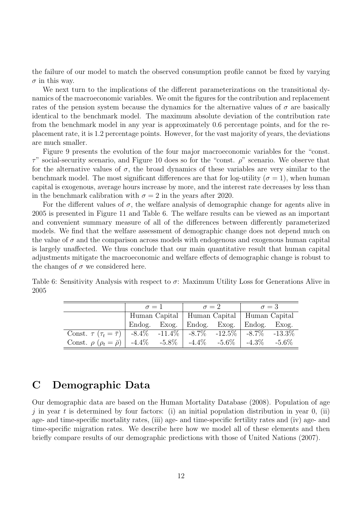the failure of our model to match the observed consumption profile cannot be fixed by varying  $\sigma$  in this way.

We next turn to the implications of the different parameterizations on the transitional dynamics of the macroeconomic variables. We omit the figures for the contribution and replacement rates of the pension system because the dynamics for the alternative values of  $\sigma$  are basically identical to the benchmark model. The maximum absolute deviation of the contribution rate from the benchmark model in any year is approximately 0.6 percentage points, and for the replacement rate, it is 1.2 percentage points. However, for the vast majority of years, the deviations are much smaller.

Figure 9 presents the evolution of the four major macroeconomic variables for the "const.  $\tau$ " social-security scenario, and Figure 10 does so for the "const.  $\rho$ " scenario. We observe that for the alternative values of  $\sigma$ , the broad dynamics of these variables are very similar to the benchmark model. The most significant differences are that for log-utility ( $\sigma = 1$ ), when human capital is exogenous, average hours increase by more, and the interest rate decreases by less than in the benchmark calibration with  $\sigma = 2$  in the years after 2020.

For the different values of  $\sigma$ , the welfare analysis of demographic change for agents alive in 2005 is presented in Figure 11 and Table 6. The welfare results can be viewed as an important and convenient summary measure of all of the differences between differently parameterized models. We find that the welfare assessment of demographic change does not depend much on the value of  $\sigma$  and the comparison across models with endogenous and exogenous human capital is largely unaffected. We thus conclude that our main quantitative result that human capital adjustments mitigate the macroeconomic and welfare effects of demographic change is robust to the changes of  $\sigma$  we considered here.

|      |  |  |  | Table 6: Sensitivity Analysis with respect to $\sigma$ : Maximum Utility Loss for Generations Alive in |  |
|------|--|--|--|--------------------------------------------------------------------------------------------------------|--|
| 2005 |  |  |  |                                                                                                        |  |

|                                                                                      |                                               | $\sigma = 1$ | $\sigma = 2$              | $\sigma = 3$ |          |
|--------------------------------------------------------------------------------------|-----------------------------------------------|--------------|---------------------------|--------------|----------|
|                                                                                      | Human Capital   Human Capital   Human Capital |              |                           |              |          |
|                                                                                      | Endog. Exog.                                  |              | Endog. Exog. Endog. Exog. |              |          |
| Const. $\tau$ ( $\tau_t = \bar{\tau}$ )   -8.4% -11.4%   -8.7% -12.5%   -8.7% -13.3% |                                               |              |                           |              |          |
| Const. $\rho$ ( $\rho_t = \bar{\rho}$ )   -4.4\% -5.8\%   -4.4\%                     |                                               |              | $-5.6\%$                  | $-4.3\%$     | $-5.6\%$ |

## C Demographic Data

Our demographic data are based on the Human Mortality Database (2008). Population of age j in year t is determined by four factors: (i) an initial population distribution in year  $0$ , (ii) age- and time-specific mortality rates, (iii) age- and time-specific fertility rates and (iv) age- and time-specific migration rates. We describe here how we model all of these elements and then briefly compare results of our demographic predictions with those of United Nations (2007).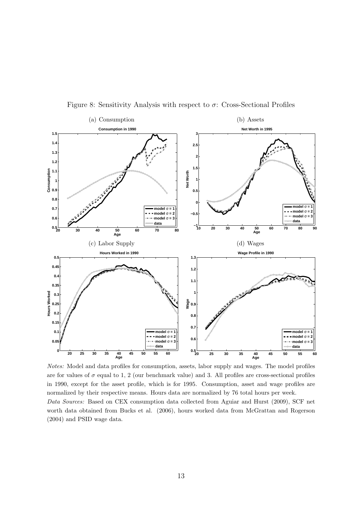

Figure 8: Sensitivity Analysis with respect to  $\sigma$ : Cross-Sectional Profiles

Notes: Model and data profiles for consumption, assets, labor supply and wages. The model profiles are for values of  $\sigma$  equal to 1, 2 (our benchmark value) and 3. All profiles are cross-sectional profiles in 1990, except for the asset profile, which is for 1995. Consumption, asset and wage profiles are normalized by their respective means. Hours data are normalized by 76 total hours per week. Data Sources: Based on CEX consumption data collected from Aguiar and Hurst (2009), SCF net worth data obtained from Bucks et al. (2006), hours worked data from McGrattan and Rogerson (2004) and PSID wage data.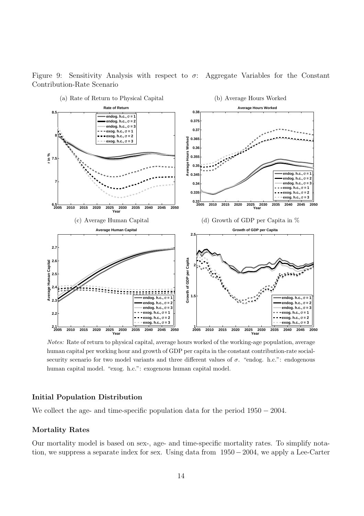

Figure 9: Sensitivity Analysis with respect to  $\sigma$ : Aggregate Variables for the Constant Contribution-Rate Scenario

Notes: Rate of return to physical capital, average hours worked of the working-age population, average human capital per working hour and growth of GDP per capita in the constant contribution-rate socialsecurity scenario for two model variants and three different values of  $\sigma$ . "endog. h.c.": endogenous human capital model. "exog. h.c.": exogenous human capital model.

#### Initial Population Distribution

We collect the age- and time-specific population data for the period  $1950 - 2004$ .

#### Mortality Rates

Our mortality model is based on sex-, age- and time-specific mortality rates. To simplify notation, we suppress a separate index for sex. Using data from 1950 −2004, we apply a Lee-Carter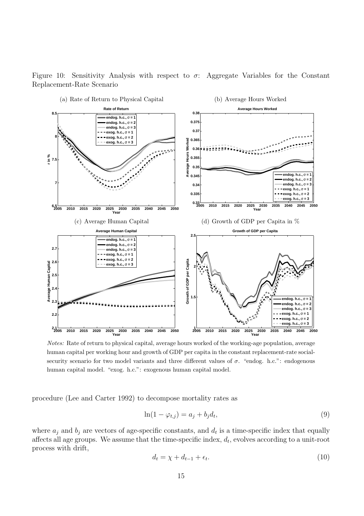

Figure 10: Sensitivity Analysis with respect to  $\sigma$ : Aggregate Variables for the Constant Replacement-Rate Scenario

Notes: Rate of return to physical capital, average hours worked of the working-age population, average human capital per working hour and growth of GDP per capita in the constant replacement-rate socialsecurity scenario for two model variants and three different values of  $\sigma$ . "endogenous" endogenous human capital model. "exog. h.c.": exogenous human capital model.

procedure (Lee and Carter 1992) to decompose mortality rates as

$$
\ln(1 - \varphi_{t,j}) = a_j + b_j d_t,\tag{9}
$$

where  $a_j$  and  $b_j$  are vectors of age-specific constants, and  $d_t$  is a time-specific index that equally affects all age groups. We assume that the time-specific index,  $d_t$ , evolves according to a unit-root process with drift,

$$
d_t = \chi + d_{t-1} + \epsilon_t. \tag{10}
$$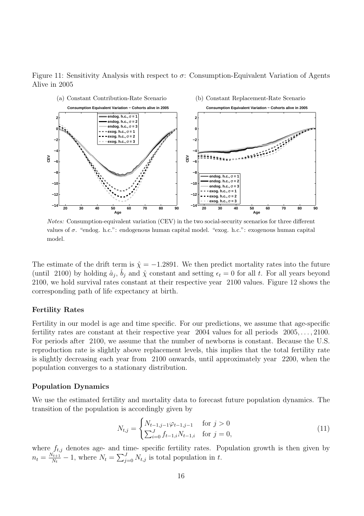Figure 11: Sensitivity Analysis with respect to  $\sigma$ : Consumption-Equivalent Variation of Agents Alive in 2005



Notes: Consumption-equivalent variation (CEV) in the two social-security scenarios for three different values of σ. "endog. h.c.": endogenous human capital model. "exog. h.c.": exogenous human capital model.

The estimate of the drift term is  $\hat{\chi} = -1.2891$ . We then predict mortality rates into the future (until 2100) by holding  $\hat{a}_j$ ,  $\hat{b}_j$  and  $\hat{\chi}$  constant and setting  $\epsilon_t = 0$  for all t. For all years beyond 2100, we hold survival rates constant at their respective year 2100 values. Figure 12 shows the corresponding path of life expectancy at birth.

#### Fertility Rates

Fertility in our model is age and time specific. For our predictions, we assume that age-specific fertility rates are constant at their respective year 2004 values for all periods 2005, . . . , 2100. For periods after 2100, we assume that the number of newborns is constant. Because the U.S. reproduction rate is slightly above replacement levels, this implies that the total fertility rate is slightly decreasing each year from 2100 onwards, until approximately year 2200, when the population converges to a stationary distribution.

#### Population Dynamics

We use the estimated fertility and mortality data to forecast future population dynamics. The transition of the population is accordingly given by  $\overline{a}$ 

$$
N_{t,j} = \begin{cases} N_{t-1,j-1} \varphi_{t-1,j-1} & \text{for } j > 0\\ \sum_{i=0}^{J} f_{t-1,i} N_{t-1,i} & \text{for } j = 0, \end{cases} \tag{11}
$$

where  $f_{t,j}$  denotes age- and time- specific fertility rates. Population growth is then given by  $n_t = \frac{N_{t+1}}{N_t}$  $\frac{U_{t,j}}{N_t}$  are  $N_t = \sum_{j}^{J}$  $\sum_{j=0}^{J} N_{t,j}$  is total population in t.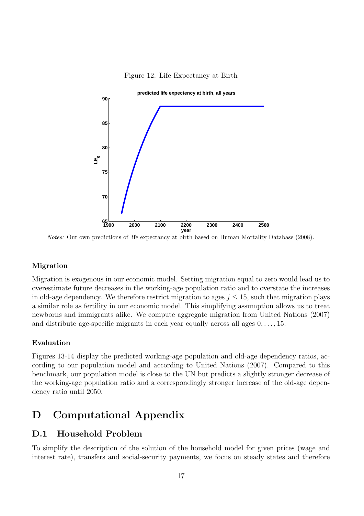



Notes: Our own predictions of life expectancy at birth based on Human Mortality Database (2008).

#### Migration

Migration is exogenous in our economic model. Setting migration equal to zero would lead us to overestimate future decreases in the working-age population ratio and to overstate the increases in old-age dependency. We therefore restrict migration to ages  $j \leq 15$ , such that migration plays a similar role as fertility in our economic model. This simplifying assumption allows us to treat newborns and immigrants alike. We compute aggregate migration from United Nations (2007) and distribute age-specific migrants in each year equally across all ages  $0, \ldots, 15$ .

#### Evaluation

Figures 13-14 display the predicted working-age population and old-age dependency ratios, according to our population model and according to United Nations (2007). Compared to this benchmark, our population model is close to the UN but predicts a slightly stronger decrease of the working-age population ratio and a correspondingly stronger increase of the old-age dependency ratio until 2050.

## D Computational Appendix

## D.1 Household Problem

To simplify the description of the solution of the household model for given prices (wage and interest rate), transfers and social-security payments, we focus on steady states and therefore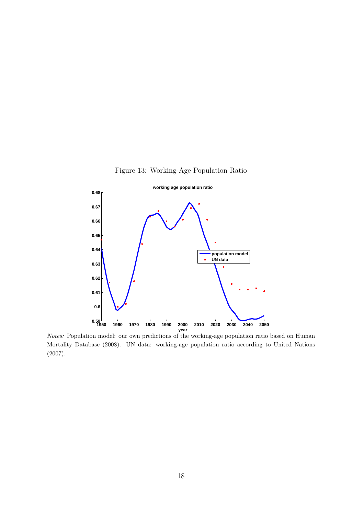



Notes: Population model: our own predictions of the working-age population ratio based on Human Mortality Database (2008). UN data: working-age population ratio according to United Nations (2007).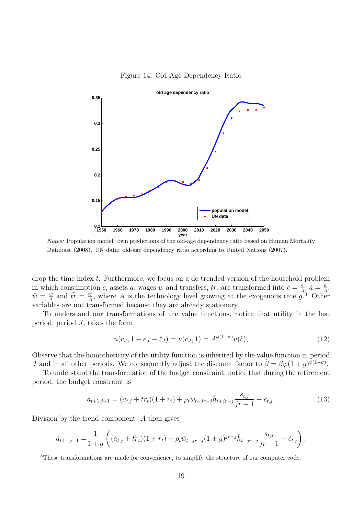

#### Figure 14: Old-Age Dependency Ratio

Notes: Population model: own predictions of the old-age dependency ratio based on Human Mortality Database (2008). UN data: old-age dependency ratio according to United Nations (2007).

drop the time index t. Furthermore, we focus on a de-trended version of the household problem in which consumption c, assets a, wages w and transfers, tr, are transformed into  $\tilde{c} = \frac{c}{4}$  $\frac{c}{A}$ ,  $\tilde{a} = \frac{a}{A}$  $\frac{a}{A}$ ,  $\tilde{w} = \frac{w}{4}$  $\frac{w}{A}$  and  $\tilde{tr} = \frac{tr}{A}$  $\frac{dr}{A}$ , where A is the technology level growing at the exogenous rate  $\hat{g}^3$ . Other variables are not transformed because they are already stationary.

To understand our transformations of the value functions, notice that utility in the last period, period  $J$ , takes the form

$$
u(c_J, 1 - e_J - \ell_J) = u(c_J, 1) = A^{\phi(1 - \sigma)} u(\tilde{c}),
$$
\n(12)

Observe that the homotheticity of the utility function is inherited by the value function in period *J* and in all other periods. We consequently adjust the discount factor to  $\tilde{\beta} = \beta \varphi (1+g)^{\tilde{\varphi}(1-\sigma)}$ .

To understand the transformation of the budget constraint, notice that during the retirement period, the budget constraint is

$$
a_{t+1,j+1} = (a_{t,j} + tr_t)(1+r_t) + \rho_t w_{t+jr-j} \bar{h}_{t+jr-j} \frac{s_{t,j}}{jr-1} - c_{t,j}.
$$
\n(13)

Division by the trend component A then gives

$$
\tilde{a}_{t+1,j+1} = \frac{1}{1+g} \left( (\tilde{a}_{t,j} + \tilde{tr}_t)(1+r_t) + \rho_t \tilde{w}_{t+jr-j} (1+g)^{jr-j} \bar{h}_{t+jr-j} \frac{s_{t,j}}{jr-1} - \tilde{c}_{t,j} \right).
$$

<sup>3</sup>These transformations are made for convenience, to simplify the structure of our computer code.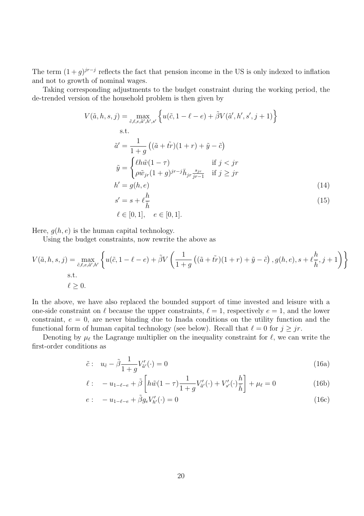The term  $(1+g)^{jr-j}$  reflects the fact that pension income in the US is only indexed to inflation and not to growth of nominal wages.

Taking corresponding adjustments to the budget constraint during the working period, the de-trended version of the household problem is then given by

$$
V(\tilde{a}, h, s, j) = \max_{\tilde{c}, \ell, e, \tilde{a}', h', s'} \left\{ u(\tilde{c}, 1 - \ell - e) + \tilde{\beta} V(\tilde{a}', h', s', j + 1) \right\}
$$
  
s.t.  

$$
\tilde{a}' = \frac{1}{1 + g} \left( (\tilde{a} + t\tilde{r})(1 + r) + \tilde{y} - \tilde{c} \right)
$$

$$
\tilde{y} = \begin{cases} \ell h \tilde{w}(1 - \tau) & \text{if } j < jr \\ \rho \tilde{w}_{jr}(1 + g)^{jr - j} \bar{h}_{jr} \frac{s_{jr}}{jr - 1} & \text{if } j \geq jr \end{cases}
$$

$$
h' = g(h, e) \tag{14}
$$

$$
s' = s + \ell \frac{\kappa}{\bar{h}} \tag{15}
$$
  

$$
\ell \in [0, 1], \quad e \in [0, 1].
$$

Here,  $g(h, e)$  is the human capital technology.

Using the budget constraints, now rewrite the above as

$$
V(\tilde{a}, h, s, j) = \max_{\tilde{c}, \ell, e, \tilde{a}', h'} \left\{ u(\tilde{c}, 1 - \ell - e) + \tilde{\beta} V\left(\frac{1}{1+g}\left((\tilde{a} + \tilde{tr})(1+r) + \tilde{y} - \tilde{c}\right), g(h, e), s + \ell \frac{h}{\bar{h}}, j + 1\right) \right\}
$$
  
s.t.  

$$
\ell \ge 0.
$$

In the above, we have also replaced the bounded support of time invested and leisure with a one-side constraint on  $\ell$  because the upper constraints,  $\ell = 1$ , respectively  $e = 1$ , and the lower constraint,  $e = 0$ , are never binding due to Inada conditions on the utility function and the functional form of human capital technology (see below). Recall that  $\ell = 0$  for  $j \geq j r$ .

Denoting by  $\mu_{\ell}$  the Lagrange multiplier on the inequality constraint for  $\ell$ , we can write the first-order conditions as

$$
\tilde{c}: \quad u_{\tilde{c}} - \tilde{\beta} \frac{1}{1+g} V'_{\tilde{a}'}(\cdot) = 0 \tag{16a}
$$

$$
\ell: \quad -u_{1-\ell-e} + \tilde{\beta} \left[ h\tilde{w}(1-\tau) \frac{1}{1+g} V'_{\tilde{a}'}(\cdot) + V'_{s'}(\cdot) \frac{h}{\bar{h}} \right] + \mu_{\ell} = 0 \tag{16b}
$$

$$
e: \t -u_{1-\ell-e} + \tilde{\beta}g_e V'_{h'}(\cdot) = 0 \t (16c)
$$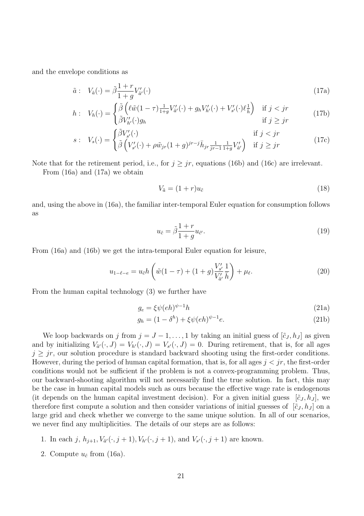and the envelope conditions as

$$
\tilde{a}: V_{\tilde{a}}(\cdot) = \tilde{\beta} \frac{1+r}{1+g} V'_{\tilde{a}'}(\cdot)
$$
\n(17a)

$$
h: V_h(\cdot) = \begin{cases} \tilde{\beta} \left( \ell \tilde{w} (1 - \tau) \frac{1}{1 + g} V'_{\tilde{a}'}(\cdot) + g_h V'_{h'}(\cdot) + V'_{s'}(\cdot) \ell \frac{1}{h} \right) & \text{if } j < jr \\ \tilde{\beta} V'_{h'}(\cdot) g_h & \text{if } j \geq jr \end{cases} \tag{17b}
$$

$$
s: V_s(\cdot) = \begin{cases} \tilde{\beta}V'_{s'}(\cdot) & \text{if } j < jr \\ \tilde{\beta}\left(V'_{s'}(\cdot) + \rho \tilde{w}_{jr}(1+g)^{jr-j}\bar{h}_{jr}\frac{1}{jr-1}\frac{1}{1+g}V'_{\tilde{a}'}\right) & \text{if } j \geq jr \end{cases} \tag{17c}
$$

Note that for the retirement period, i.e., for  $j \geq jr$ , equations (16b) and (16c) are irrelevant.

From (16a) and (17a) we obtain

$$
V_{\tilde{a}} = (1+r)u_{\tilde{c}} \tag{18}
$$

and, using the above in (16a), the familiar inter-temporal Euler equation for consumption follows as

$$
u_{\tilde{c}} = \tilde{\beta} \frac{1+r}{1+g} u_{\tilde{c}'}.
$$
\n(19)

From (16a) and (16b) we get the intra-temporal Euler equation for leisure,

$$
u_{1-\ell-e} = u_{\tilde{c}} h\left(\tilde{w}(1-\tau) + (1+g)\frac{V'_{s'}}{V'_{\tilde{a'}}}\frac{1}{\bar{h}}\right) + \mu_{\ell}.
$$
 (20)

From the human capital technology (3) we further have

$$
g_e = \xi \psi(eh)^{\psi - 1}h\tag{21a}
$$

$$
g_h = (1 - \delta^h) + \xi \psi(eh)^{\psi - 1} e.
$$
 (21b)

We loop backwards on j from  $j = J - 1, \ldots, 1$  by taking an initial guess of  $[\tilde{c}_J, h_J]$  as given and by initializing  $V_{\tilde{a}'}(\cdot, J) = V_{h'}(\cdot, J) = V_{s'}(\cdot, J) = 0$ . During retirement, that is, for all ages  $j \geq jr$ , our solution procedure is standard backward shooting using the first-order conditions. However, during the period of human capital formation, that is, for all ages  $j < jr$ , the first-order conditions would not be sufficient if the problem is not a convex-programming problem. Thus, our backward-shooting algorithm will not necessarily find the true solution. In fact, this may be the case in human capital models such as ours because the effective wage rate is endogenous (it depends on the human capital investment decision). For a given initial guess  $[\tilde{c}_J, h_J]$ , we therefore first compute a solution and then consider variations of initial guesses of  $[\tilde{c}_J, h_J]$  on a large grid and check whether we converge to the same unique solution. In all of our scenarios, we never find any multiplicities. The details of our steps are as follows:

- 1. In each j,  $h_{j+1}, V_{\tilde{a}'}(\cdot, j+1), V_{h'}(\cdot, j+1)$ , and  $V_{s'}(\cdot, j+1)$  are known.
- 2. Compute  $u_{\tilde{c}}$  from (16a).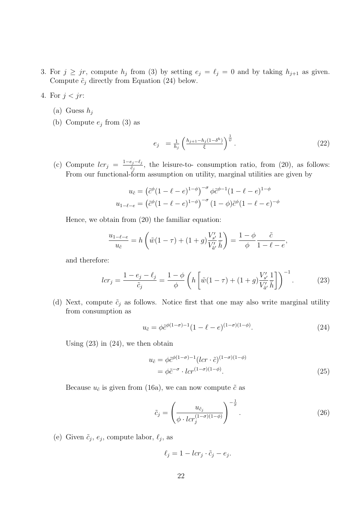- 3. For  $j \geq jr$ , compute  $h_j$  from (3) by setting  $e_j = \ell_j = 0$  and by taking  $h_{j+1}$  as given. Compute  $\tilde{c}_j$  directly from Equation (24) below.
- 4. For  $j < jr$ :
	- (a) Guess  $h_i$
	- (b) Compute  $e_j$  from (3) as

$$
e_j = \frac{1}{h_j} \left( \frac{h_{j+1} - h_j (1 - \delta^h)}{\xi} \right)^{\frac{1}{\psi}}.
$$
 (22)

(c) Compute  $lcr_j = \frac{1-e_j-\ell_j}{\tilde{c}_j}$  $\frac{\varepsilon_j - \varepsilon_j}{\varepsilon_j}$ , the leisure-to- consumption ratio, from (20), as follows: From our functional-form assumption on utility, marginal utilities are given by

$$
u_{\tilde{c}} = (\tilde{c}^{\phi}(1 - \ell - e)^{1 - \phi})^{-\sigma} \phi \tilde{c}^{\phi - 1}(1 - \ell - e)^{1 - \phi}
$$

$$
u_{1 - \ell - e} = (\tilde{c}^{\phi}(1 - \ell - e)^{1 - \phi})^{-\sigma} (1 - \phi) \tilde{c}^{\phi}(1 - \ell - e)^{-\phi}
$$

Hence, we obtain from (20) the familiar equation:

$$
\frac{u_{1-\ell-e}}{u_{\tilde{c}}} = h\left(\tilde{w}(1-\tau) + (1+g)\frac{V'_{s'}}{V'_{\tilde{a}'}}\frac{1}{\bar{h}}\right) = \frac{1-\phi}{\phi}\frac{\tilde{c}}{1-\ell-e},
$$

and therefore:

$$
lcr_j = \frac{1 - e_j - \ell_j}{\tilde{c}_j} = \frac{1 - \phi}{\phi} \left( h \left[ \tilde{w}(1 - \tau) + (1 + g) \frac{V'_{s'}}{V'_{\tilde{a'}}} \frac{1}{\bar{h}} \right] \right)^{-1} . \tag{23}
$$

(d) Next, compute  $\tilde{c}_j$  as follows. Notice first that one may also write marginal utility from consumption as

$$
u_{\tilde{c}} = \phi \tilde{c}^{\phi(1-\sigma)-1} (1 - \ell - e)^{(1-\sigma)(1-\phi)}.
$$
 (24)

Using  $(23)$  in  $(24)$ , we then obtain

$$
u_{\tilde{c}} = \phi \tilde{c}^{\phi(1-\sigma)-1} (lcr \cdot \tilde{c})^{(1-\sigma)(1-\phi)}
$$
  
=  $\phi \tilde{c}^{-\sigma} \cdot lcr^{(1-\sigma)(1-\phi)}.$  (25)

Because  $u_{\tilde{c}}$  is given from (16a), we can now compute  $\tilde{c}$  as

$$
\tilde{c}_j = \left(\frac{u_{\tilde{c}_j}}{\phi \cdot lcr_j^{(1-\sigma)(1-\phi)}}\right)^{-\frac{1}{\sigma}}.\tag{26}
$$

(e) Given  $\tilde{c}_j$ ,  $e_j$ , compute labor,  $\ell_j$ , as

$$
\ell_j = 1 - lcr_j \cdot \tilde{c}_j - e_j.
$$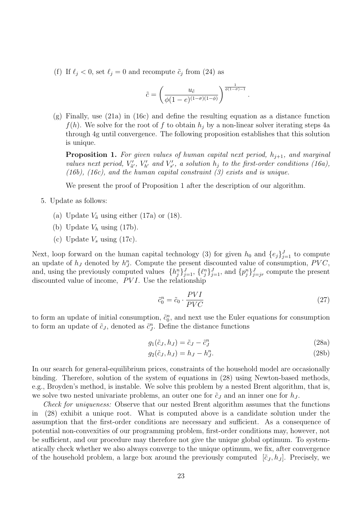(f) If  $\ell_j < 0$ , set  $\ell_j = 0$  and recompute  $\tilde{c}_j$  from (24) as

$$
\tilde{c} = \left(\frac{u_{\tilde{c}}}{\phi(1-e)^{(1-\sigma)(1-\phi)}}\right)^{\frac{1}{\phi(1-\sigma)-1}}.
$$

(g) Finally, use (21a) in (16c) and define the resulting equation as a distance function  $f(h)$ . We solve for the root of f to obtain  $h_i$  by a non-linear solver iterating steps 4a through 4g until convergence. The following proposition establishes that this solution is unique.

**Proposition 1.** For given values of human capital next period,  $h_{j+1}$ , and marginal values next period,  $V'_{\tilde{a}'}, V'_{h'}$  and  $V'_{s'}$ , a solution  $h_j$  to the first-order conditions (16a), (16b), (16c), and the human capital constraint  $(3)$  exists and is unique.

We present the proof of Proposition 1 after the description of our algorithm.

- 5. Update as follows:
	- (a) Update  $V_{\tilde{a}}$  using either (17a) or (18).
	- (b) Update  $V_h$  using (17b).
	- (c) Update  $V_s$  using (17c).

Next, loop forward on the human capital technology (3) for given  $h_0$  and  $\{e_j\}_{j=1}^J$  to compute an update of  $h_J$  denoted by  $h_J^n$ . Compute the present discounted value of consumption, PVC, and, using the previously computed values  $\{h_j^n\}_{j=1}^J$ ,  $\{\ell_j^n\}_{j=1}^J$ , and  $\{p_j^n\}_{j=jr}^J$  compute the present discounted value of income,  $PVI$ . Use the relationship

$$
\tilde{c}_0^n = \tilde{c}_0 \cdot \frac{PVI}{PVC} \tag{27}
$$

to form an update of initial consumption,  $\tilde{c}_0^n$ , and next use the Euler equations for consumption to form an update of  $\tilde{c}_J$ , denoted as  $\tilde{c}_J^n$ . Define the distance functions

$$
g_1(\tilde{c}_J, h_J) = \tilde{c}_J - \tilde{c}_J^n \tag{28a}
$$

$$
g_2(\tilde{c}_J, h_J) = h_J - h_J^n.
$$
\n(28b)

In our search for general-equilibrium prices, constraints of the household model are occasionally binding. Therefore, solution of the system of equations in (28) using Newton-based methods, e.g., Broyden's method, is instable. We solve this problem by a nested Brent algorithm, that is, we solve two nested univariate problems, an outer one for  $\tilde{c}_J$  and an inner one for  $h_J$ .

Check for uniqueness: Observe that our nested Brent algorithm assumes that the functions in (28) exhibit a unique root. What is computed above is a candidate solution under the assumption that the first-order conditions are necessary and sufficient. As a consequence of potential non-convexities of our programming problem, first-order conditions may, however, not be sufficient, and our procedure may therefore not give the unique global optimum. To systematically check whether we also always converge to the unique optimum, we fix, after convergence of the household problem, a large box around the previously computed  $[\tilde{c}_J, h_J]$ . Precisely, we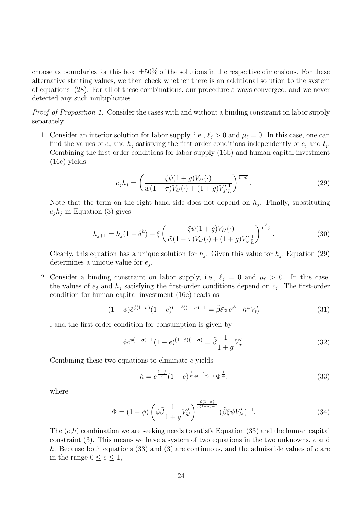choose as boundaries for this box  $\pm 50\%$  of the solutions in the respective dimensions. For these alternative starting values, we then check whether there is an additional solution to the system of equations (28). For all of these combinations, our procedure always converged, and we never detected any such multiplicities.

Proof of Proposition 1. Consider the cases with and without a binding constraint on labor supply separately.

1. Consider an interior solution for labor supply, i.e.,  $\ell_j > 0$  and  $\mu_\ell = 0$ . In this case, one can find the values of  $e_j$  and  $h_j$  satisfying the first-order conditions independently of  $c_j$  and  $l_j$ . Combining the first-order conditions for labor supply (16b) and human capital investment (16c) yields

$$
e_j h_j = \left(\frac{\xi \psi(1+g)V_{h'}(\cdot)}{\tilde{w}(1-\tau)V_{\tilde{a}'}(\cdot) + (1+g)V_{s'\bar{h}}'}\right)^{\frac{1}{1-\psi}}.
$$
\n(29)

Note that the term on the right-hand side does not depend on  $h_j$ . Finally, substituting  $e_j h_j$  in Equation (3) gives

$$
h_{j+1} = h_j(1 - \delta^h) + \xi \left( \frac{\xi \psi(1+g)V_{h'}(\cdot)}{\tilde{w}(1-\tau)V_{\tilde{a}'}(\cdot) + (1+g)V'_{s'\tilde{h}}}\right)^{\frac{\psi}{1-\psi}}.
$$
 (30)

Clearly, this equation has a unique solution for  $h_j$ . Given this value for  $h_j$ , Equation (29) determines a unique value for  $e_j$ .

2. Consider a binding constraint on labor supply, i.e.,  $\ell_j = 0$  and  $\mu_\ell > 0$ . In this case, the values of  $e_j$  and  $h_j$  satisfying the first-order conditions depend on  $c_j$ . The first-order condition for human capital investment (16c) reads as

$$
(1 - \phi)\tilde{c}^{\phi(1 - \sigma)}(1 - e)^{(1 - \phi)(1 - \sigma) - 1} = \tilde{\beta}\xi\psi e^{\psi - 1}h^{\psi}V'_{h'}
$$
\n(31)

, and the first-order condition for consumption is given by

$$
\phi \tilde{c}^{\phi(1-\sigma)-1} (1-e)^{(1-\phi)(1-\sigma)} = \tilde{\beta} \frac{1}{1+g} V'_{\tilde{a}'}.
$$
\n(32)

Combining these two equations to eliminate c yields

$$
h = e^{\frac{1-\psi}{\psi}} (1-e)^{\frac{1}{\psi} \frac{\sigma}{\phi(1-\sigma)-1}} \Phi^{\frac{1}{\psi}}, \tag{33}
$$

where

$$
\Phi = (1 - \phi) \left( \phi \tilde{\beta} \frac{1}{1 + g} V_{\tilde{a}'}' \right)^{\frac{\phi(1 - \sigma)}{\phi(1 - \sigma) - 1}} (\tilde{\beta} \xi \psi V_{h'}')^{-1}.
$$
\n(34)

The  $(e,h)$  combination we are seeking needs to satisfy Equation (33) and the human capital constraint (3). This means we have a system of two equations in the two unknowns, e and h. Because both equations (33) and (3) are continuous, and the admissible values of  $e$  are in the range  $0 \le e \le 1$ ,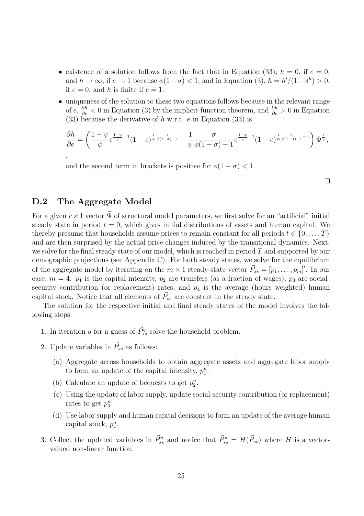- existence of a solution follows from the fact that in Equation (33),  $h = 0$ , if  $e = 0$ , and  $h \to \infty$ , if  $e \to 1$  because  $\phi(1-\sigma) < 1$ ; and in Equation (3),  $h = h'/(1-\delta^h) > 0$ , if  $e = 0$ , and h is finite if  $e = 1$ .
- uniqueness of the solution to these two equations follows because in the relevant range of  $e, \frac{\partial h}{\partial e} < 0$  in Equation (3) by the implicit-function theorem, and  $\frac{\partial h}{\partial e} > 0$  in Equation (33) because the derivative of  $h$  w.r.t.  $e$  in Equation (33) is

$$
\frac{\partial h}{\partial e} = \left(\frac{1-\psi}{\psi}e^{\frac{1-\psi}{\psi}-1}(1-e)^{\frac{1}{\psi}\frac{\sigma}{\phi(1-\sigma)-1}} - \frac{1}{\psi}\frac{\sigma}{\phi(1-\sigma)-1}e^{\frac{1-\psi}{\psi}-1}(1-e)^{\frac{1}{\psi}\frac{\sigma}{\phi(1-\sigma)-1}-1}\right)\Phi^{\frac{1}{\psi}},
$$

and the second term in brackets is positive for  $\phi(1-\sigma) < 1$ .

 $\Box$ 

## D.2 The Aggregate Model

For a given  $r \times 1$  vector  $\vec{\Psi}$  of structural model parameters, we first solve for an "artificial" initial steady state in period  $t = 0$ , which gives initial distributions of assets and human capital. We thereby presume that households assume prices to remain constant for all periods  $t \in \{0, \ldots, T\}$ and are then surprised by the actual price changes induced by the transitional dynamics. Next, we solve for the final steady state of our model, which is reached in period  $T$  and supported by our demographic projections (see Appendix C). For both steady states, we solve for the equilibrium of the aggregate model by iterating on the  $m \times 1$  steady-state vector  $\vec{P}_{ss} = [p_1, \ldots, p_m]'$ . In our case,  $m = 4$ .  $p_1$  is the capital intensity,  $p_2$  are transfers (as a fraction of wages),  $p_3$  are socialsecurity contribution (or replacement) rates, and  $p_4$  is the average (hours weighted) human capital stock. Notice that all elements of  $\vec{P}_{ss}$  are constant in the steady state.

The solution for the respective initial and final steady states of the model involves the following steps:

- 1. In iteration q for a guess of  $\vec{P}_{ss}^q$  solve the household problem.
- 2. Update variables in  $\vec{P}_{ss}$  as follows:
	- (a) Aggregate across households to obtain aggregate assets and aggregate labor supply to form an update of the capital intensity,  $p_1^n$ .
	- (b) Calculate an update of bequests to get  $p_2^n$ .
	- (c) Using the update of labor supply, update social-security contribution (or replacement) rates to get  $p_3^n$ .
	- (d) Use labor supply and human capital decisions to form an update of the average human capital stock,  $p_4^n$ .
- 3. Collect the updated variables in  $\vec{P}_{ss}^n$  and notice that  $\vec{P}_{ss}^n = H(\vec{P}_{ss})$  where H is a vectorvalued non-linear function.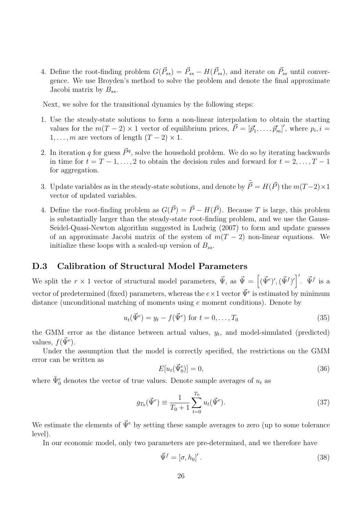4. Define the root-finding problem  $G(\vec{P}_{ss}) = \vec{P}_{ss} - H(\vec{P}_{ss})$ , and iterate on  $\vec{P}_{ss}$  until convergence. We use Broyden's method to solve the problem and denote the final approximate Jacobi matrix by  $B_{ss}$ .

Next, we solve for the transitional dynamics by the following steps:

- 1. Use the steady-state solutions to form a non-linear interpolation to obtain the starting values for the  $m(T-2) \times 1$  vector of equilibrium prices,  $\vec{P} = [\vec{p}'_1, \dots, \vec{p}'_m]'$ , where  $p_i, i =$  $1, \ldots, m$  are vectors of length  $(T - 2) \times 1$ .
- 2. In iteration q for guess  $\vec{P}^q$ , solve the household problem. We do so by iterating backwards in time for  $t = T - 1, \ldots, 2$  to obtain the decision rules and forward for  $t = 2, \ldots, T - 1$ for aggregation.
- 3. Update variables as in the steady-state solutions, and denote by  $\tilde{\vec{P}} = H(\vec{P})$  the  $m(T-2) \times 1$ vector of updated variables.
- 4. Define the root-finding problem as  $G(\vec{P}) = \vec{P} H(\vec{P})$ . Because T is large, this problem is substantially larger than the steady-state root-finding problem, and we use the Gauss-Seidel-Quasi-Newton algorithm suggested in Ludwig (2007) to form and update guesses of an approximate Jacobi matrix of the system of  $m(T - 2)$  non-linear equations. We initialize these loops with a scaled-up version of  $B_{ss}$ .

## D.3 Calibration of Structural Model Parameters

We split the  $r \times 1$  vector of structural model parameters,  $\vec{\Psi}$ , as  $\vec{\Psi} =$ h  $(\vec{\Psi}^e)^\prime, (\vec{\Psi}^f)^\prime \end{bmatrix}^\prime$ .  $\vec{\Psi}^f$  is a vector of predetermined (fixed) parameters, whereas the  $e \times 1$  vector  $\vec{\Psi}^e$  is estimated by minimum distance (unconditional matching of moments using  $e$  moment conditions). Denote by

$$
u_t(\vec{\Psi}^e) = y_t - f(\vec{\Psi}^e) \text{ for } t = 0, \dots, T_0
$$
\n(35)

the GMM error as the distance between actual values,  $y_t$ , and model-simulated (predicted) values,  $f(\vec{\Psi}^e)$ .

Under the assumption that the model is correctly specified, the restrictions on the GMM error can be written as

$$
E[u_t(\vec{\Psi}_0^e)] = 0,\t\t(36)
$$

where  $\tilde{\Psi}_0^e$  denotes the vector of true values. Denote sample averages of  $u_t$  as

$$
g_{T_0}(\vec{\Psi}^e) \equiv \frac{1}{T_0 + 1} \sum_{t=0}^{T_0} u_t(\vec{\Psi}^e).
$$
 (37)

We estimate the elements of  $\vec{\Psi}^e$  by setting these sample averages to zero (up to some tolerance level).

In our economic model, only two parameters are pre-determined, and we therefore have

$$
\vec{\Psi}^f = [\sigma, h_0]'.
$$
\n(38)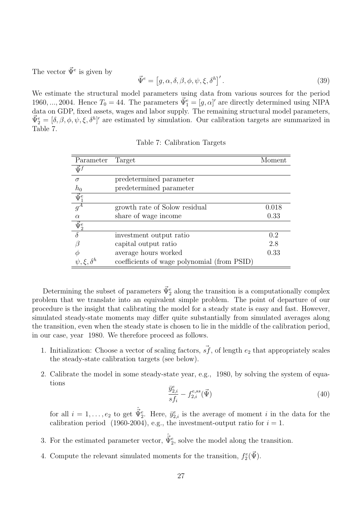The vector  $\vec{\Psi}^e$  is given by

$$
\vec{\Psi}^e = [g, \alpha, \delta, \beta, \phi, \psi, \xi, \delta^h]'.
$$
\n(39)

We estimate the structural model parameters using data from various sources for the period 1960, ..., 2004. Hence  $T_0 = 44$ . The parameters  $\vec{\Psi}_1^e = [g, \alpha]'$  are directly determined using NIPA data on GDP, fixed assets, wages and labor supply. The remaining structural model parameters,  $\vec{\Psi}_2^e = [\delta, \beta, \phi, \psi, \xi, \delta^h]$ ' are estimated by simulation. Our calibration targets are summarized in Table 7.

| Parameter                    | Target                                      | Moment |
|------------------------------|---------------------------------------------|--------|
| $\vec{\Psi}^f$               |                                             |        |
| $\sigma$                     | predetermined parameter                     |        |
| $h_0$                        | predetermined parameter                     |        |
| $\frac{\vec{\Psi}_1^e}{g^A}$ |                                             |        |
|                              | growth rate of Solow residual               | 0.018  |
| $\alpha$                     | share of wage income                        | 0.33   |
| $\vec \Psi^e_2$              |                                             |        |
|                              | investment output ratio                     | 0.2    |
|                              | capital output ratio                        | 2.8    |
|                              | average hours worked                        | 0.33   |
| $\psi, \xi, \delta^h$        | coefficients of wage polynomial (from PSID) |        |

Table 7: Calibration Targets

Determining the subset of parameters  $\vec{\Psi}_2^e$  along the transition is a computationally complex problem that we translate into an equivalent simple problem. The point of departure of our procedure is the insight that calibrating the model for a steady state is easy and fast. However, simulated steady-state moments may differ quite substantially from simulated averages along the transition, even when the steady state is chosen to lie in the middle of the calibration period, in our case, year 1980. We therefore proceed as follows.

- 1. Initialization: Choose a vector of scaling factors,  $\vec{sf}$ , of length  $e_2$  that appropriately scales the steady-state calibration targets (see below).
- 2. Calibrate the model in some steady-state year, e.g., 1980, by solving the system of equations e

$$
\frac{\bar{y}_{2,i}^e}{s f_i} - f_{2,i}^{e,ss}(\vec{\Psi})
$$
\n(40)

for all  $i = 1, \ldots, e_2$  to get  $\hat{\vec{\Psi}}_2^e$ . Here,  $\vec{y}_{2,i}^e$  is the average of moment i in the data for the calibration period (1960-2004), e.g., the investment-output ratio for  $i = 1$ .

- 3. For the estimated parameter vector,  $\hat{\vec{\Psi}}_2^e$ , solve the model along the transition.
- 4. Compute the relevant simulated moments for the transition,  $f_2^e(\vec{\Psi})$ .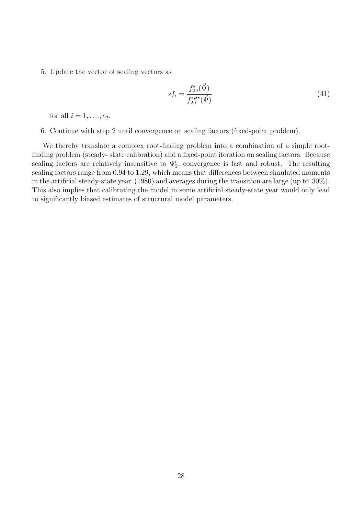5. Update the vector of scaling vectors as

$$
sf_i = \frac{f_{2,i}^e(\vec{\Psi})}{f_{2,i}^{e,ss}(\vec{\Psi})}
$$
(41)

for all  $i = 1, \ldots, e_2$ .

6. Continue with step 2 until convergence on scaling factors (fixed-point problem).

We thereby translate a complex root-finding problem into a combination of a simple rootfinding problem (steady- state calibration) and a fixed-point iteration on scaling factors. Because scaling factors are relatively insensitive to  $\Psi_2^e$ , convergence is fast and robust. The resulting scaling factors range from 0.94 to 1.29, which means that differences between simulated moments in the artificial steady-state year (1980) and averages during the transition are large (up to 30%). This also implies that calibrating the model in some artificial steady-state year would only lead to significantly biased estimates of structural model parameters.